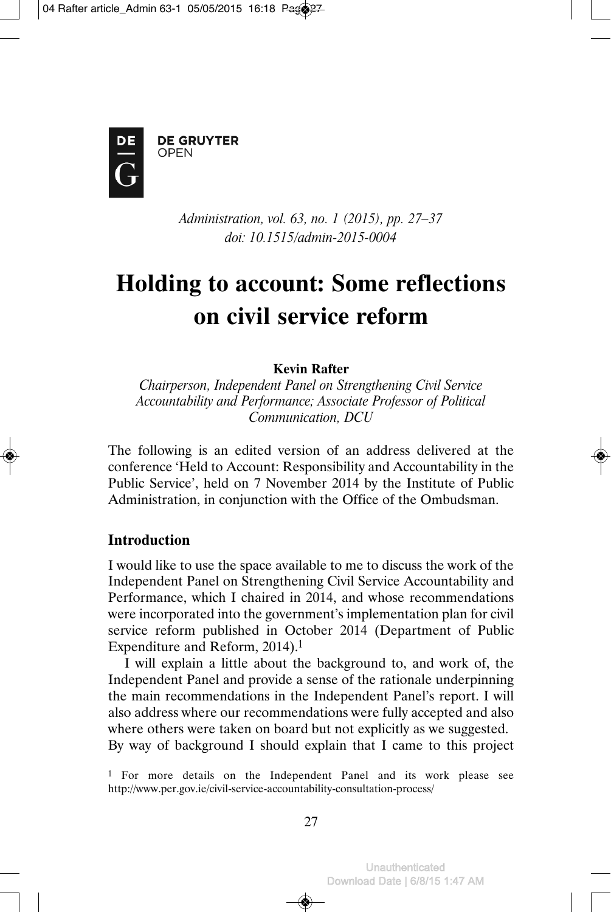

**DE GRUYTER** OPEN

> *Administration, vol. 63, no. 1 (2015), pp. 27–37 doi: 10.1515/admin-2015-0004*

# **Holding to account: Some reflections on civil service reform**

**Kevin Rafter**

*Chairperson, Independent Panel on Strengthening Civil Service Accountability and Performance; Associate Professor of Political Communication, DCU*

The following is an edited version of an address delivered at the conference 'Held to Account: Responsibility and Accountability in the Public Service', held on 7 November 2014 by the Institute of Public Administration, in conjunction with the Office of the Ombudsman.

# **Introduction**

I would like to use the space available to me to discuss the work of the Independent Panel on Strengthening Civil Service Accountability and Performance, which I chaired in 2014, and whose recommendations were incorporated into the government's implementation plan for civil service reform published in October 2014 (Department of Public Expenditure and Reform, 2014).<sup>1</sup>

I will explain a little about the background to, and work of, the Independent Panel and provide a sense of the rationale underpinning the main recommendations in the Independent Panel's report. I will also address where our recommendations were fully accepted and also where others were taken on board but not explicitly as we suggested. By way of background I should explain that I came to this project

<sup>&</sup>lt;sup>1</sup> For more details on the Independent Panel and its work please see http://www.per.gov.ie/civil-service-accountability-consultation-process/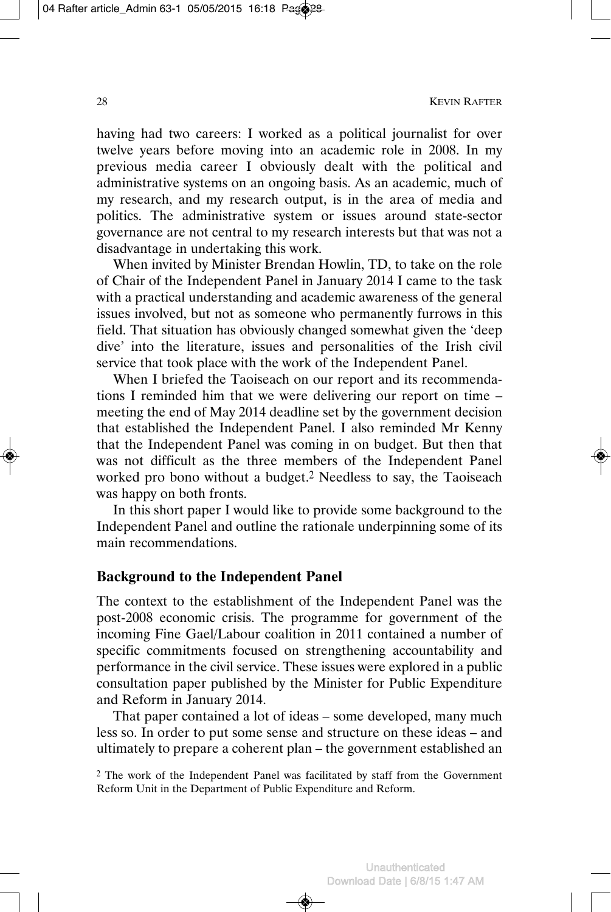having had two careers: I worked as a political journalist for over twelve years before moving into an academic role in 2008. In my previous media career I obviously dealt with the political and administrative systems on an ongoing basis. As an academic, much of my research, and my research output, is in the area of media and politics. The administrative system or issues around state-sector governance are not central to my research interests but that was not a disadvantage in undertaking this work.

When invited by Minister Brendan Howlin, TD, to take on the role of Chair of the Independent Panel in January 2014 I came to the task with a practical understanding and academic awareness of the general issues involved, but not as someone who permanently furrows in this field. That situation has obviously changed somewhat given the 'deep dive' into the literature, issues and personalities of the Irish civil service that took place with the work of the Independent Panel.

When I briefed the Taoiseach on our report and its recommendations I reminded him that we were delivering our report on time – meeting the end of May 2014 deadline set by the government decision that established the Independent Panel. I also reminded Mr Kenny that the Independent Panel was coming in on budget. But then that was not difficult as the three members of the Independent Panel worked pro bono without a budget.2 Needless to say, the Taoiseach was happy on both fronts.

In this short paper I would like to provide some background to the Independent Panel and outline the rationale underpinning some of its main recommendations.

#### **Background to the Independent Panel**

The context to the establishment of the Independent Panel was the post-2008 economic crisis. The programme for government of the incoming Fine Gael/Labour coalition in 2011 contained a number of specific commitments focused on strengthening accountability and performance in the civil service. These issues were explored in a public consultation paper published by the Minister for Public Expenditure and Reform in January 2014.

That paper contained a lot of ideas – some developed, many much less so. In order to put some sense and structure on these ideas – and ultimately to prepare a coherent plan – the government established an

<sup>2</sup> The work of the Independent Panel was facilitated by staff from the Government Reform Unit in the Department of Public Expenditure and Reform.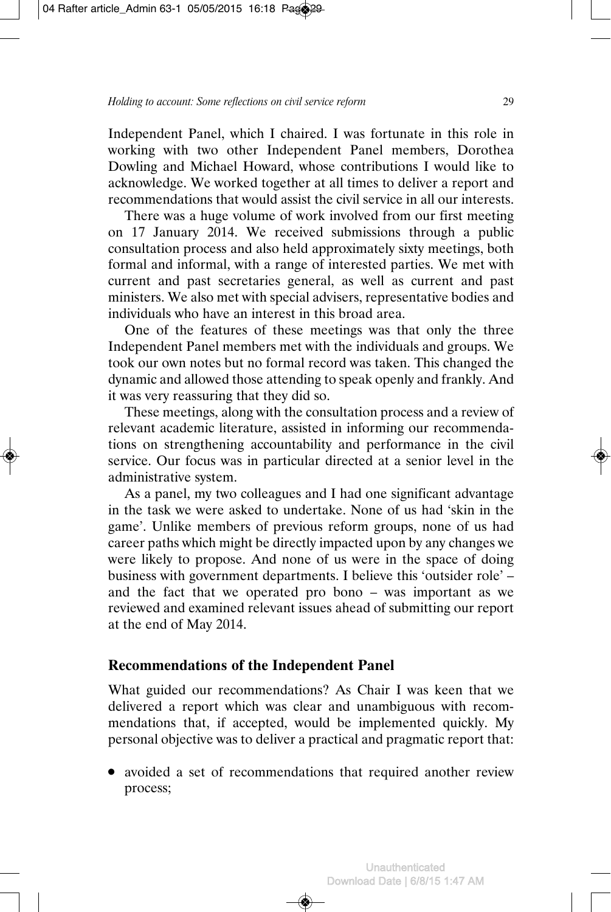Independent Panel, which I chaired. I was fortunate in this role in working with two other Independent Panel members, Dorothea Dowling and Michael Howard, whose contributions I would like to acknowledge. We worked together at all times to deliver a report and recommendations that would assist the civil service in all our interests.

There was a huge volume of work involved from our first meeting on 17 January 2014. We received submissions through a public consultation process and also held approximately sixty meetings, both formal and informal, with a range of interested parties. We met with current and past secretaries general, as well as current and past ministers. We also met with special advisers, representative bodies and individuals who have an interest in this broad area.

One of the features of these meetings was that only the three Independent Panel members met with the individuals and groups. We took our own notes but no formal record was taken. This changed the dynamic and allowed those attending to speak openly and frankly. And it was very reassuring that they did so.

These meetings, along with the consultation process and a review of relevant academic literature, assisted in informing our recommenda tions on strengthening accountability and performance in the civil service. Our focus was in particular directed at a senior level in the administrative system.

As a panel, my two colleagues and I had one significant advantage in the task we were asked to undertake. None of us had 'skin in the game'. Unlike members of previous reform groups, none of us had career paths which might be directly impacted upon by any changes we were likely to propose. And none of us were in the space of doing business with government departments. I believe this 'outsider role' – and the fact that we operated pro bono – was important as we reviewed and examined relevant issues ahead of submitting our report at the end of May 2014.

# **Recommendations of the Independent Panel**

What guided our recommendations? As Chair I was keen that we delivered a report which was clear and unambiguous with recommendations that, if accepted, would be implemented quickly. My personal objective was to deliver a practical and pragmatic report that:

• avoided a set of recommendations that required another review process;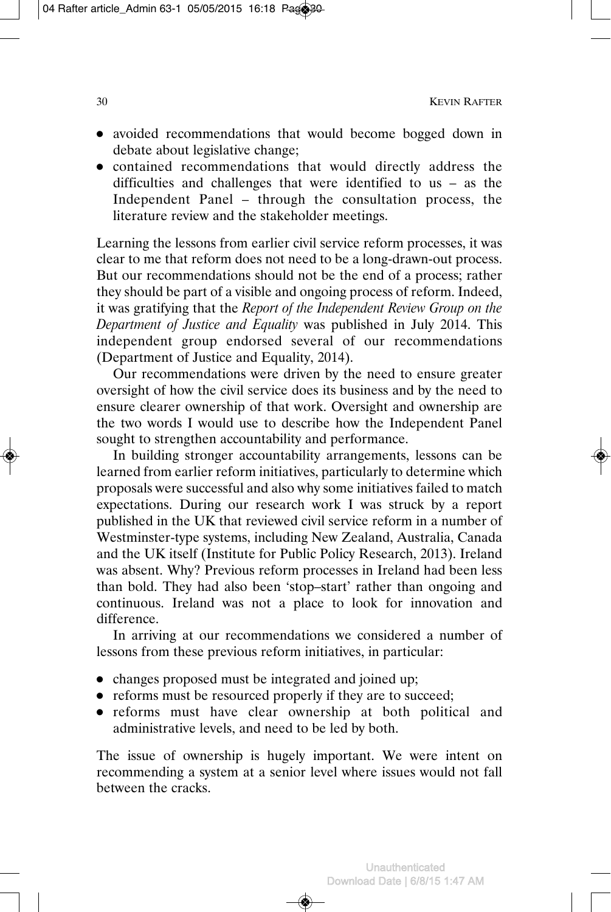- avoided recommendations that would become bogged down in debate about legislative change;
- contained recommendations that would directly address the difficulties and challenges that were identified to us – as the Independent Panel – through the consultation process, the literature review and the stakeholder meetings.

Learning the lessons from earlier civil service reform processes, it was clear to me that reform does not need to be a long-drawn-out process. But our recommendations should not be the end of a process; rather they should be part of a visible and ongoing process of reform. Indeed, it was gratifying that the *Report of the Independent Review Group on the Department of Justice and Equality* was published in July 2014. This independent group endorsed several of our recommendations (Department of Justice and Equality, 2014).

Our recommendations were driven by the need to ensure greater oversight of how the civil service does its business and by the need to ensure clearer ownership of that work. Oversight and ownership are the two words I would use to describe how the Independent Panel sought to strengthen accountability and performance.

In building stronger accountability arrangements, lessons can be learned from earlier reform initiatives, particularly to determine which proposals were successful and also why some initiatives failed to match expectations. During our research work I was struck by a report published in the UK that reviewed civil service reform in a number of Westminster-type systems, including New Zealand, Australia, Canada and the UK itself (Institute for Public Policy Research, 2013). Ireland was absent. Why? Previous reform processes in Ireland had been less than bold. They had also been 'stop–start' rather than ongoing and continuous. Ireland was not a place to look for innovation and difference.

In arriving at our recommendations we considered a number of lessons from these previous reform initiatives, in particular:

- changes proposed must be integrated and joined up;
- reforms must be resourced properly if they are to succeed;
- reforms must have clear ownership at both political and administrative levels, and need to be led by both.

The issue of ownership is hugely important. We were intent on recommending a system at a senior level where issues would not fall between the cracks.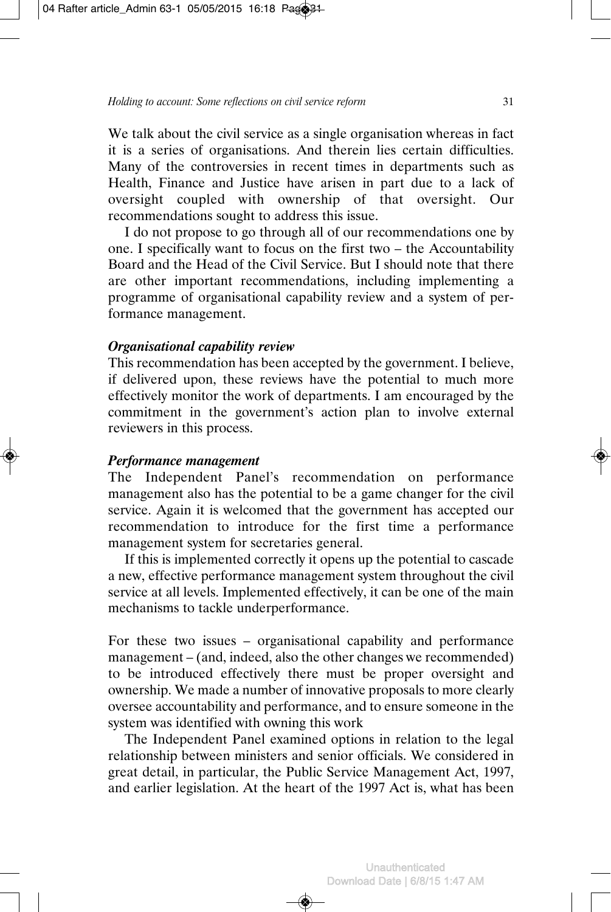We talk about the civil service as a single organisation whereas in fact it is a series of organisations. And therein lies certain difficulties. Many of the controversies in recent times in departments such as Health, Finance and Justice have arisen in part due to a lack of oversight coupled with ownership of that oversight. Our recommendations sought to address this issue.

I do not propose to go through all of our recommendations one by one. I specifically want to focus on the first two – the Accountability Board and the Head of the Civil Service. But I should note that there are other important recommendations, including implementing a programme of organisational capability review and a system of performance management.

#### *Organisational capability review*

This recommendation has been accepted by the government. I believe, if delivered upon, these reviews have the potential to much more effectively monitor the work of departments. I am encouraged by the commitment in the government's action plan to involve external reviewers in this process.

#### *Performance management*

The Independent Panel's recommendation on performance management also has the potential to be a game changer for the civil service. Again it is welcomed that the government has accepted our recommendation to introduce for the first time a performance management system for secretaries general.

If this is implemented correctly it opens up the potential to cascade a new, effective performance management system throughout the civil service at all levels. Implemented effectively, it can be one of the main mechanisms to tackle underperformance.

For these two issues – organisational capability and performance management – (and, indeed, also the other changes we recommended) to be introduced effectively there must be proper oversight and ownership. We made a number of innovative proposals to more clearly oversee accountability and performance, and to ensure someone in the system was identified with owning this work

The Independent Panel examined options in relation to the legal relationship between ministers and senior officials. We considered in great detail, in particular, the Public Service Management Act, 1997, and earlier legislation. At the heart of the 1997 Act is, what has been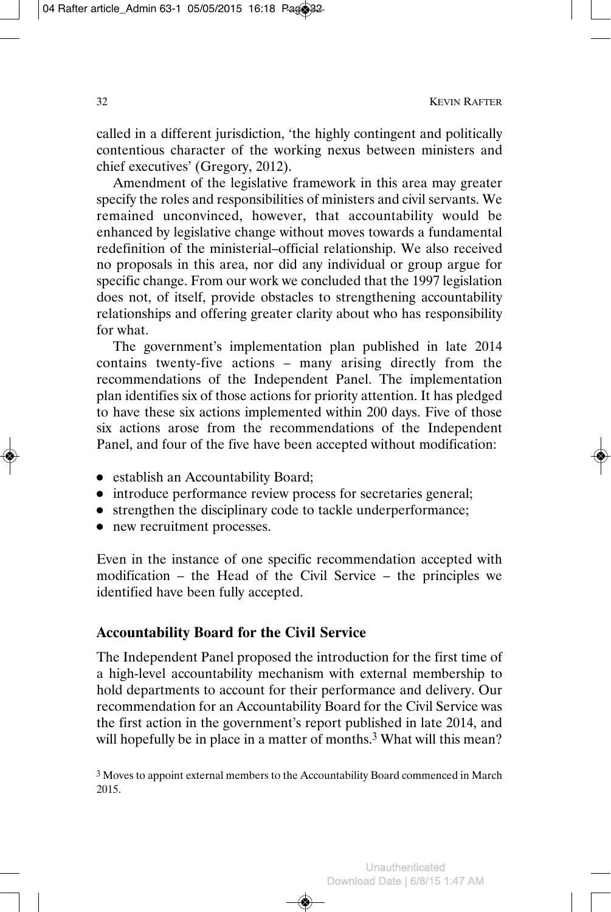called in a different jurisdiction, 'the highly contingent and politically contentious character of the working nexus between ministers and chief executives' (Gregory, 2012).

Amendment of the legislative framework in this area may greater specify the roles and responsibilities of ministers and civil servants. We remained unconvinced, however, that accountability would be enhanced by legislative change without moves towards a fundamental redefinition of the ministerial–official relationship. We also received no proposals in this area, nor did any individual or group argue for specific change. From our work we concluded that the 1997 legislation does not, of itself, provide obstacles to strengthening accountability relationships and offering greater clarity about who has responsibility for what.

The government's implementation plan published in late 2014 contains twenty-five actions – many arising directly from the recommendations of the Independent Panel. The implementation plan identifies six of those actions for priority attention. It has pledged to have these six actions implemented within 200 days. Five of those six actions arose from the recommendations of the Independent Panel, and four of the five have been accepted without modification:

- establish an Accountability Board;
- introduce performance review process for secretaries general;
- strengthen the disciplinary code to tackle underperformance;
- new recruitment processes.

Even in the instance of one specific recommendation accepted with modification – the Head of the Civil Service – the principles we identified have been fully accepted.

# **Accountability Board for the Civil Service**

The Independent Panel proposed the introduction for the first time of a high-level accountability mechanism with external membership to hold departments to account for their performance and delivery. Our recommendation for an Accountability Board for the Civil Service was the first action in the government's report published in late 2014, and will hopefully be in place in a matter of months.<sup>3</sup> What will this mean?

<sup>3</sup> Moves to appoint external members to the Accountability Board commenced in March 2015.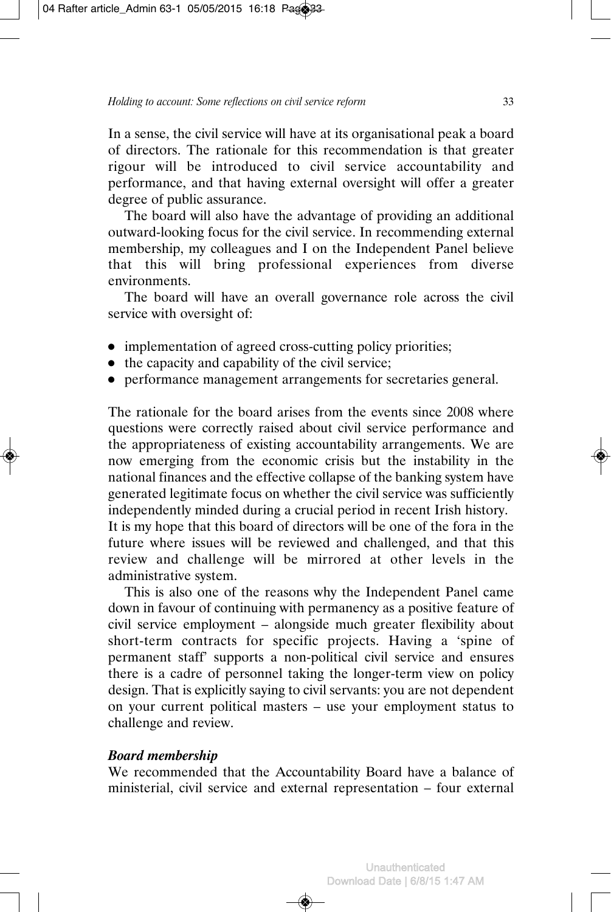In a sense, the civil service will have at its organisational peak a board of directors. The rationale for this recommendation is that greater rigour will be introduced to civil service accountability and performance, and that having external oversight will offer a greater degree of public assurance.

The board will also have the advantage of providing an additional outward-looking focus for the civil service. In recommending external membership, my colleagues and I on the Independent Panel believe that this will bring professional experiences from diverse environments.

The board will have an overall governance role across the civil service with oversight of:

- implementation of agreed cross-cutting policy priorities;
- the capacity and capability of the civil service;
- performance management arrangements for secretaries general.

The rationale for the board arises from the events since 2008 where questions were correctly raised about civil service performance and the appropriateness of existing accountability arrangements. We are now emerging from the economic crisis but the instability in the national finances and the effective collapse of the banking system have generated legitimate focus on whether the civil service was sufficiently independently minded during a crucial period in recent Irish history.

It is my hope that this board of directors will be one of the fora in the future where issues will be reviewed and challenged, and that this review and challenge will be mirrored at other levels in the administrative system.

This is also one of the reasons why the Independent Panel came down in favour of continuing with permanency as a positive feature of civil service employment – alongside much greater flexibility about short-term contracts for specific projects. Having a 'spine of permanent staff' supports a non-political civil service and ensures there is a cadre of personnel taking the longer-term view on policy design. That is explicitly saying to civil servants: you are not dependent on your current political masters – use your employment status to challenge and review.

#### *Board membership*

We recommended that the Accountability Board have a balance of ministerial, civil service and external representation – four external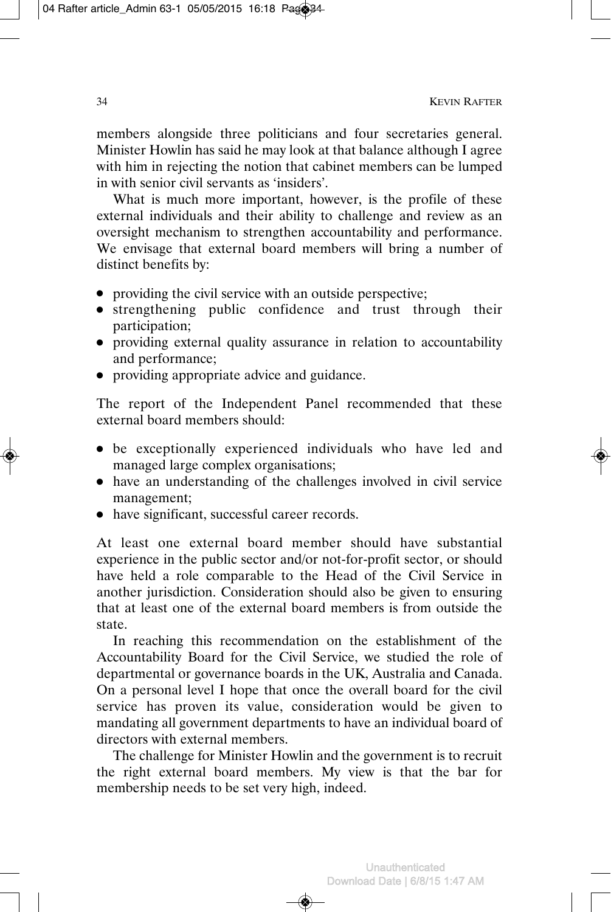members alongside three politicians and four secretaries general. Minister Howlin has said he may look at that balance although I agree with him in rejecting the notion that cabinet members can be lumped in with senior civil servants as 'insiders'.

What is much more important, however, is the profile of these external individuals and their ability to challenge and review as an oversight mechanism to strengthen accountability and performance. We envisage that external board members will bring a number of distinct benefits by:

- providing the civil service with an outside perspective;
- strengthening public confidence and trust through their participation;
- providing external quality assurance in relation to accountability and performance;
- providing appropriate advice and guidance.

The report of the Independent Panel recommended that these external board members should:

- be exceptionally experienced individuals who have led and managed large complex organisations;
- have an understanding of the challenges involved in civil service management;
- have significant, successful career records.

At least one external board member should have substantial experience in the public sector and/or not-for-profit sector, or should have held a role comparable to the Head of the Civil Service in another jurisdiction. Consideration should also be given to ensuring that at least one of the external board members is from outside the state.

In reaching this recommendation on the establishment of the Accountability Board for the Civil Service, we studied the role of departmental or governance boards in the UK, Australia and Canada. On a personal level I hope that once the overall board for the civil service has proven its value, consideration would be given to mandating all government departments to have an individual board of directors with external members.

The challenge for Minister Howlin and the government is to recruit the right external board members. My view is that the bar for membership needs to be set very high, indeed.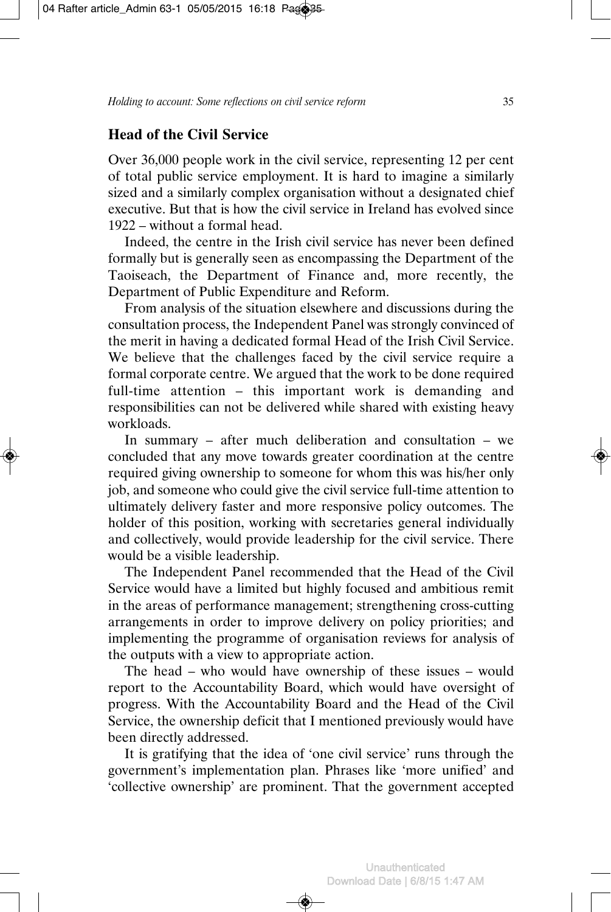#### **Head of the Civil Service**

Over 36,000 people work in the civil service, representing 12 per cent of total public service employment. It is hard to imagine a similarly sized and a similarly complex organisation without a designated chief executive. But that is how the civil service in Ireland has evolved since 1922 – without a formal head.

Indeed, the centre in the Irish civil service has never been defined formally but is generally seen as encompassing the Department of the Taoiseach, the Department of Finance and, more recently, the Department of Public Expenditure and Reform.

From analysis of the situation elsewhere and discussions during the consultation process, the Independent Panel was strongly convinced of the merit in having a dedicated formal Head of the Irish Civil Service. We believe that the challenges faced by the civil service require a formal corporate centre. We argued that the work to be done required full-time attention – this important work is demanding and responsibilities can not be delivered while shared with existing heavy workloads.

In summary – after much deliberation and consultation – we concluded that any move towards greater coordination at the centre required giving ownership to someone for whom this was his/her only job, and someone who could give the civil service full-time attention to ultimately delivery faster and more responsive policy outcomes. The holder of this position, working with secretaries general individually and collectively, would provide leadership for the civil service. There would be a visible leadership.

The Independent Panel recommended that the Head of the Civil Service would have a limited but highly focused and ambitious remit in the areas of performance management; strengthening cross-cutting arrangements in order to improve delivery on policy priorities; and implementing the programme of organisation reviews for analysis of the outputs with a view to appropriate action.

The head – who would have ownership of these issues – would report to the Accountability Board, which would have oversight of progress. With the Accountability Board and the Head of the Civil Service, the ownership deficit that I mentioned previously would have been directly addressed.

It is gratifying that the idea of 'one civil service' runs through the government's implementation plan. Phrases like 'more unified' and 'collective ownership' are prominent. That the government accepted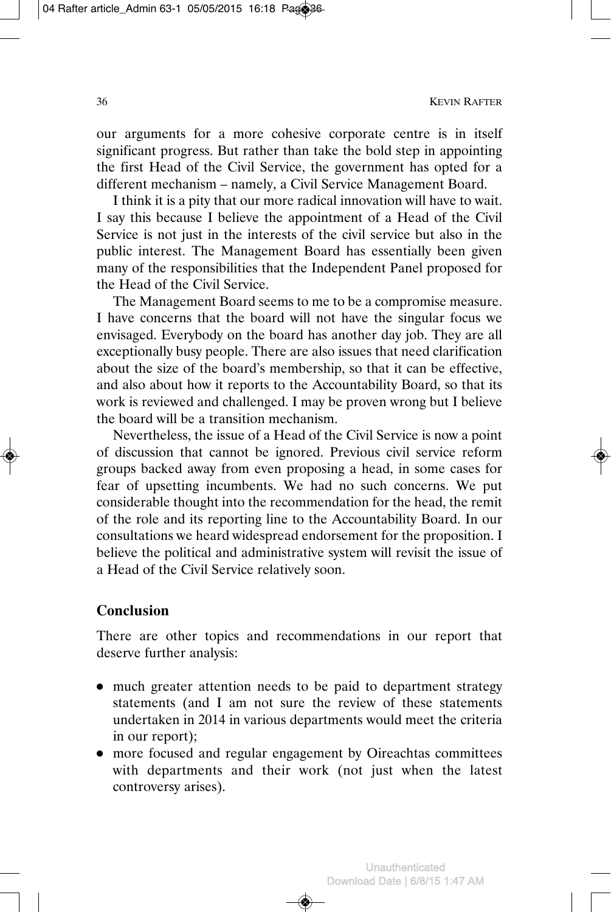our arguments for a more cohesive corporate centre is in itself significant progress. But rather than take the bold step in appointing the first Head of the Civil Service, the government has opted for a different mechanism – namely, a Civil Service Management Board.

I think it is a pity that our more radical innovation will have to wait. I say this because I believe the appointment of a Head of the Civil Service is not just in the interests of the civil service but also in the public interest. The Management Board has essentially been given many of the responsibilities that the Independent Panel proposed for the Head of the Civil Service.

The Management Board seems to me to be a compromise measure. I have concerns that the board will not have the singular focus we envisaged. Everybody on the board has another day job. They are all exceptionally busy people. There are also issues that need clarification about the size of the board's membership, so that it can be effective, and also about how it reports to the Accountability Board, so that its work is reviewed and challenged. I may be proven wrong but I believe the board will be a transition mechanism.

Nevertheless, the issue of a Head of the Civil Service is now a point of discussion that cannot be ignored. Previous civil service reform groups backed away from even proposing a head, in some cases for fear of upsetting incumbents. We had no such concerns. We put considerable thought into the recommendation for the head, the remit of the role and its reporting line to the Accountability Board. In our consultations we heard widespread endorsement for the proposition. I believe the political and administrative system will revisit the issue of a Head of the Civil Service relatively soon.

# **Conclusion**

There are other topics and recommendations in our report that deserve further analysis:

- much greater attention needs to be paid to department strategy statements (and I am not sure the review of these statements undertaken in 2014 in various departments would meet the criteria in our report);
- more focused and regular engagement by Oireachtas committees with departments and their work (not just when the latest controversy arises).